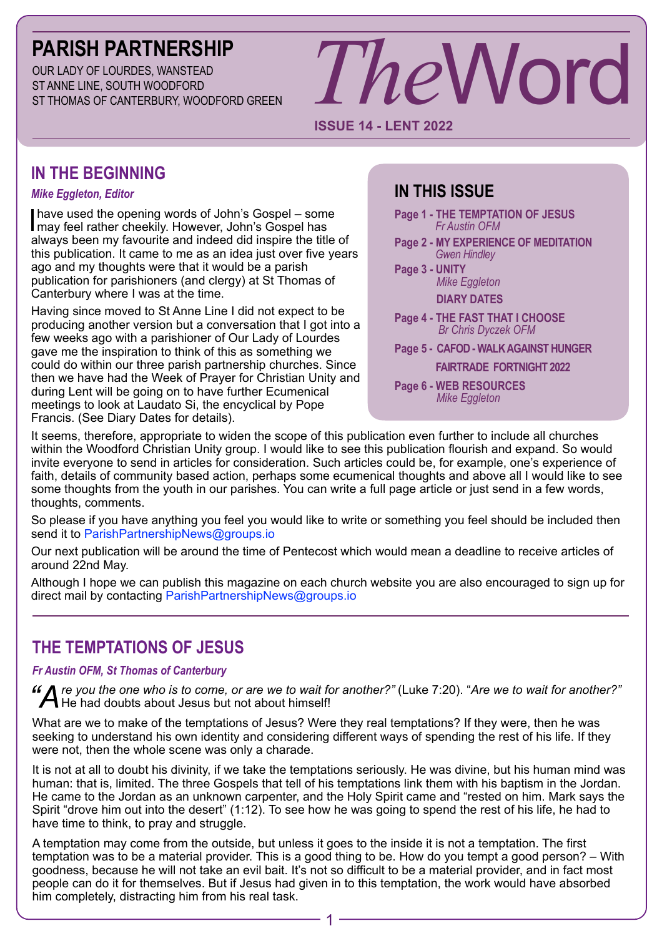# **PARISH PARTNERSHIP**

OUR LADY OF LOURDES, WANSTEAD ST ANNE LINE, SOUTH WOODFORD ST THOMAS OF CANTERBURY, WOODFORD GREEN

# *The*Word

### **ISSUE 14 - LENT 2022**

# **IN THE BEGINNING**

### *Mike Eggleton, Editor*

I have used the opening words of John's Gospel – some may feel rather cheekily. However, John's Gospel has always been my favourite and indeed did inspire the title of this publication. It came to me as an idea just over five years ago and my thoughts were that it would be a parish publication for parishioners (and clergy) at St Thomas of Canterbury where I was at the time.

Having since moved to St Anne Line I did not expect to be producing another version but a conversation that I got into a few weeks ago with a parishioner of Our Lady of Lourdes gave me the inspiration to think of this as something we could do within our three parish partnership churches. Since then we have had the Week of Prayer for Christian Unity and during Lent will be going on to have further Ecumenical meetings to look at Laudato Si, the encyclical by Pope Francis. (See Diary Dates for details).

# **IN THIS ISSUE**

- **Page 1 THE TEMPTATION OF JESUS**  *Fr Austin OFM*
- **Page 2 MY EXPERIENCE OF MEDITATION**  *Gwen Hindley*
- **Page 3****UNITY**  *Mike Eggleton* **DIARY DATES**
- **Page 4 THE FAST THAT I CHOOSE** *Br Chris Dyczek OFM*
- **Page 5 CAFOD WALK AGAINST HUNGER**

 **FAIRTRADE FORTNIGHT 2022**

**Page 6 - WEB RESOURCES** *Mike Eggleton*

It seems, therefore, appropriate to widen the scope of this publication even further to include all churches within the Woodford Christian Unity group. I would like to see this publication flourish and expand. So would invite everyone to send in articles for consideration. Such articles could be, for example, one's experience of faith, details of community based action, perhaps some ecumenical thoughts and above all I would like to see some thoughts from the youth in our parishes. You can write a full page article or just send in a few words, thoughts, comments.

So please if you have anything you feel you would like to write or something you feel should be included then send it to ParishPartnershipNews@groups.jo

Our next publication will be around the time of Pentecost which would mean a deadline to receive articles of around 22nd May.

Although I hope we can publish this magazine on each church website you are also encouraged to sign up for direct mail by contacting ParishPartnershipNews@groups.io

# **THE TEMPTATIONS OF JESUS**

### *Fr Austin OFM, St Thomas of Canterbury*

*"Are you the one who is to come, or are we to wait for another?"* (Luke 7:20). "*Are we to wait for another?"* He had doubts about Jesus but not about himself!

What are we to make of the temptations of Jesus? Were they real temptations? If they were, then he was seeking to understand his own identity and considering different ways of spending the rest of his life. If they were not, then the whole scene was only a charade.

It is not at all to doubt his divinity, if we take the temptations seriously. He was divine, but his human mind was human: that is, limited. The three Gospels that tell of his temptations link them with his baptism in the Jordan. He came to the Jordan as an unknown carpenter, and the Holy Spirit came and "rested on him. Mark says the Spirit "drove him out into the desert" (1:12). To see how he was going to spend the rest of his life, he had to have time to think, to pray and struggle.

A temptation may come from the outside, but unless it goes to the inside it is not a temptation. The first temptation was to be a material provider. This is a good thing to be. How do you tempt a good person? – With goodness, because he will not take an evil bait. It's not so difficult to be a material provider, and in fact most people can do it for themselves. But if Jesus had given in to this temptation, the work would have absorbed him completely, distracting him from his real task.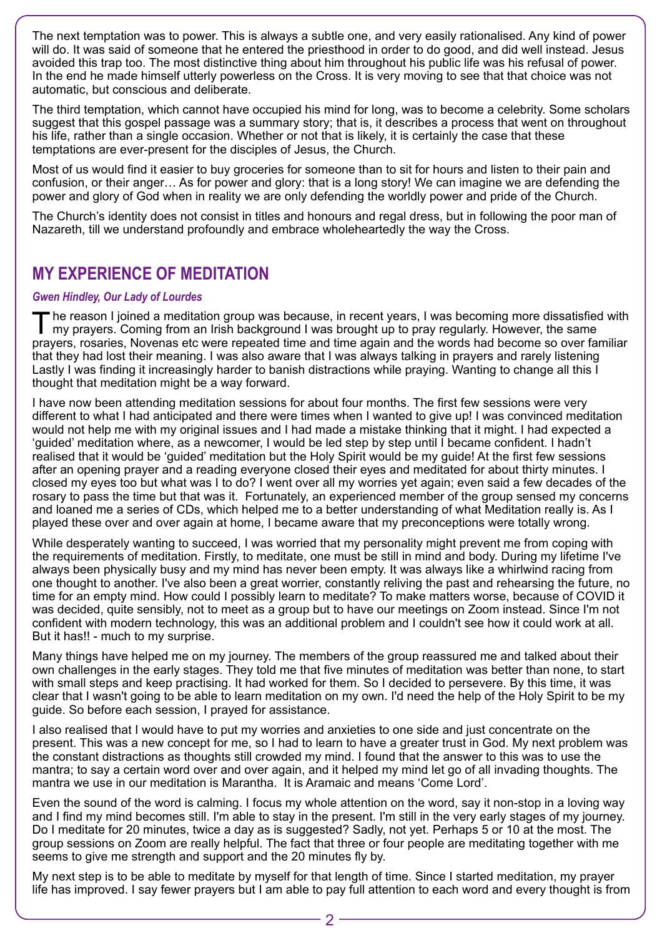The next temptation was to power. This is always a subtle one, and very easily rationalised. Any kind of power will do. It was said of someone that he entered the priesthood in order to do good, and did well instead. Jesus avoided this trap too. The most distinctive thing about him throughout his public life was his refusal of power. In the end he made himself utterly powerless on the Cross. It is very moving to see that that choice was not automatic, but conscious and deliberate.

The third temptation, which cannot have occupied his mind for long, was to become a celebrity. Some scholars suggest that this gospel passage was a summary story; that is, it describes a process that went on throughout his life, rather than a single occasion. Whether or not that is likely, it is certainly the case that these temptations are ever-present for the disciples of Jesus, the Church.

Most of us would find it easier to buy groceries for someone than to sit for hours and listen to their pain and confusion, or their anger… As for power and glory: that is a long story! We can imagine we are defending the power and glory of God when in reality we are only defending the worldly power and pride of the Church.

The Church's identity does not consist in titles and honours and regal dress, but in following the poor man of Nazareth, till we understand profoundly and embrace wholeheartedly the way the Cross.

# **MY EXPERIENCE OF MEDITATION**

### *Gwen Hindley, Our Lady of Lourdes*

The reason I joined a meditation group was because, in recent years, I was becoming more dissatisfied with my prayers. Coming from an Irish background I was brought up to pray regularly. However, the same prayers, rosaries, Novenas etc were repeated time and time again and the words had become so over familiar that they had lost their meaning. I was also aware that I was always talking in prayers and rarely listening Lastly I was finding it increasingly harder to banish distractions while praying. Wanting to change all this I thought that meditation might be a way forward.

I have now been attending meditation sessions for about four months. The first few sessions were very different to what I had anticipated and there were times when I wanted to give up! I was convinced meditation would not help me with my original issues and I had made a mistake thinking that it might. I had expected a 'guided' meditation where, as a newcomer, I would be led step by step until I became confident. I hadn't realised that it would be 'guided' meditation but the Holy Spirit would be my guide! At the first few sessions after an opening prayer and a reading everyone closed their eyes and meditated for about thirty minutes. I closed my eyes too but what was I to do? I went over all my worries yet again; even said a few decades of the rosary to pass the time but that was it. Fortunately, an experienced member of the group sensed my concerns and loaned me a series of CDs, which helped me to a better understanding of what Meditation really is. As I played these over and over again at home, I became aware that my preconceptions were totally wrong.

While desperately wanting to succeed, I was worried that my personality might prevent me from coping with the requirements of meditation. Firstly, to meditate, one must be still in mind and body. During my lifetime I've always been physically busy and my mind has never been empty. It was always like a whirlwind racing from one thought to another. I've also been a great worrier, constantly reliving the past and rehearsing the future, no time for an empty mind. How could I possibly learn to meditate? To make matters worse, because of COVID it was decided, quite sensibly, not to meet as a group but to have our meetings on Zoom instead. Since I'm not confident with modern technology, this was an additional problem and I couldn't see how it could work at all. But it has!! - much to my surprise.

Many things have helped me on my journey. The members of the group reassured me and talked about their own challenges in the early stages. They told me that five minutes of meditation was better than none, to start with small steps and keep practising. It had worked for them. So I decided to persevere. By this time, it was clear that I wasn't going to be able to learn meditation on my own. I'd need the help of the Holy Spirit to be my guide. So before each session, I prayed for assistance.

I also realised that I would have to put my worries and anxieties to one side and just concentrate on the present. This was a new concept for me, so I had to learn to have a greater trust in God. My next problem was the constant distractions as thoughts still crowded my mind. I found that the answer to this was to use the mantra; to say a certain word over and over again, and it helped my mind let go of all invading thoughts. The mantra we use in our meditation is Marantha. It is Aramaic and means 'Come Lord'.

Even the sound of the word is calming. I focus my whole attention on the word, say it non-stop in a loving way and I find my mind becomes still. I'm able to stay in the present. I'm still in the very early stages of my journey. Do I meditate for 20 minutes, twice a day as is suggested? Sadly, not yet. Perhaps 5 or 10 at the most. The group sessions on Zoom are really helpful. The fact that three or four people are meditating together with me seems to give me strength and support and the 20 minutes fly by.

My next step is to be able to meditate by myself for that length of time. Since I started meditation, my prayer life has improved. I say fewer prayers but I am able to pay full attention to each word and every thought is from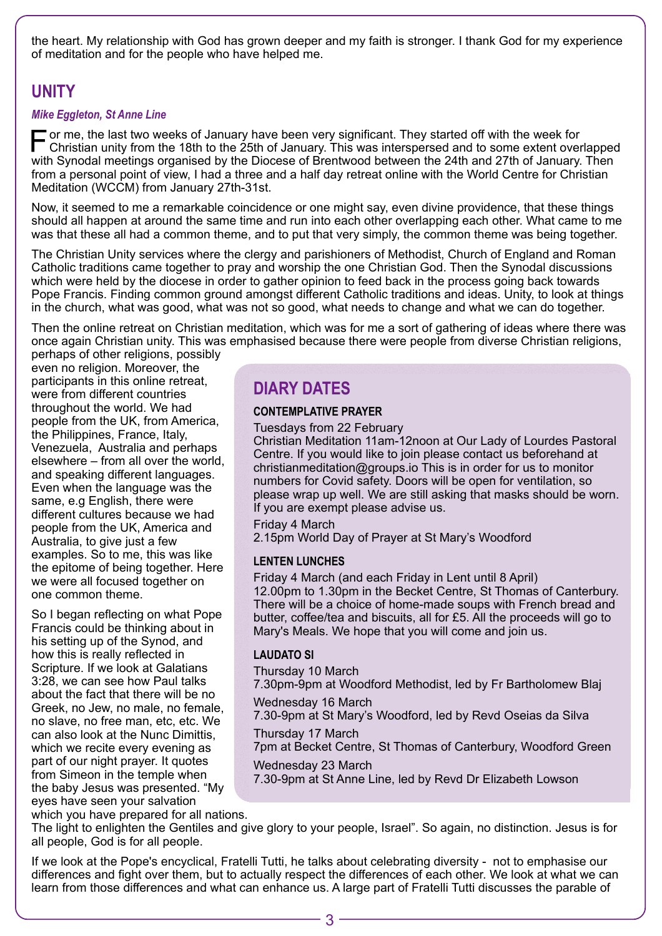the heart. My relationship with God has grown deeper and my faith is stronger. I thank God for my experience of meditation and for the people who have helped me.

# **UNITY**

### *Mike Eggleton, St Anne Line*

For me, the last two weeks of January have been very significant. They started off with the week for<br>Christian unity from the 19th to the CEU of the CEU of the CEU of the CEU of the CEU of the SCEU of the SCEU o Christian unity from the 18th to the 25th of January. This was interspersed and to some extent overlapped with Synodal meetings organised by the Diocese of Brentwood between the 24th and 27th of January. Then from a personal point of view, I had a three and a half day retreat online with the World Centre for Christian Meditation (WCCM) from January 27th-31st.

Now, it seemed to me a remarkable coincidence or one might say, even divine providence, that these things should all happen at around the same time and run into each other overlapping each other. What came to me was that these all had a common theme, and to put that very simply, the common theme was being together.

The Christian Unity services where the clergy and parishioners of Methodist, Church of England and Roman Catholic traditions came together to pray and worship the one Christian God. Then the Synodal discussions which were held by the diocese in order to gather opinion to feed back in the process going back towards Pope Francis. Finding common ground amongst different Catholic traditions and ideas. Unity, to look at things in the church, what was good, what was not so good, what needs to change and what we can do together.

Then the online retreat on Christian meditation, which was for me a sort of gathering of ideas where there was once again Christian unity. This was emphasised because there were people from diverse Christian religions,

perhaps of other religions, possibly even no religion. Moreover, the participants in this online retreat, were from different countries throughout the world. We had people from the UK, from America, the Philippines, France, Italy, Venezuela, Australia and perhaps elsewhere – from all over the world, and speaking different languages. Even when the language was the same, e.g English, there were different cultures because we had people from the UK, America and Australia, to give just a few examples. So to me, this was like the epitome of being together. Here we were all focused together on one common theme.

So I began reflecting on what Pope Francis could be thinking about in his setting up of the Synod, and how this is really reflected in Scripture. If we look at Galatians 3:28, we can see how Paul talks about the fact that there will be no Greek, no Jew, no male, no female, no slave, no free man, etc, etc. We can also look at the Nunc Dimittis, which we recite every evening as part of our night prayer. It quotes from Simeon in the temple when the baby Jesus was presented. "My eyes have seen your salvation

# **DIARY DATES**

### **CONTEMPLATIVE PRAYER**

Tuesdays from 22 February

Christian Meditation 11am-12noon at Our Lady of Lourdes Pastoral Centre. If you would like to join please contact us beforehand at christianmeditation@groups.io This is in order for us to monitor numbers for Covid safety. Doors will be open for ventilation, so please wrap up well. We are still asking that masks should be worn. If you are exempt please advise us.

Friday 4 March 2.15pm World Day of Prayer at St Mary's Woodford

### **LENTEN LUNCHES**

Friday 4 March (and each Friday in Lent until 8 April) 12.00pm to 1.30pm in the Becket Centre, St Thomas of Canterbury. There will be a choice of home-made soups with French bread and butter, coffee/tea and biscuits, all for £5. All the proceeds will go to Mary's Meals. We hope that you will come and join us.

### **LAUDATO SI**

Thursday 10 March 7.30pm-9pm at Woodford Methodist, led by Fr Bartholomew Blaj

Wednesday 16 March

7.30-9pm at St Mary's Woodford, led by Revd Oseias da Silva Thursday 17 March

7pm at Becket Centre, St Thomas of Canterbury, Woodford Green

Wednesday 23 March 7.30-9pm at St Anne Line, led by Revd Dr Elizabeth Lowson

which you have prepared for all nations.

The light to enlighten the Gentiles and give glory to your people, Israel". So again, no distinction. Jesus is for all people, God is for all people.

If we look at the Pope's encyclical, Fratelli Tutti, he talks about celebrating diversity - not to emphasise our differences and fight over them, but to actually respect the differences of each other. We look at what we can learn from those differences and what can enhance us. A large part of Fratelli Tutti discusses the parable of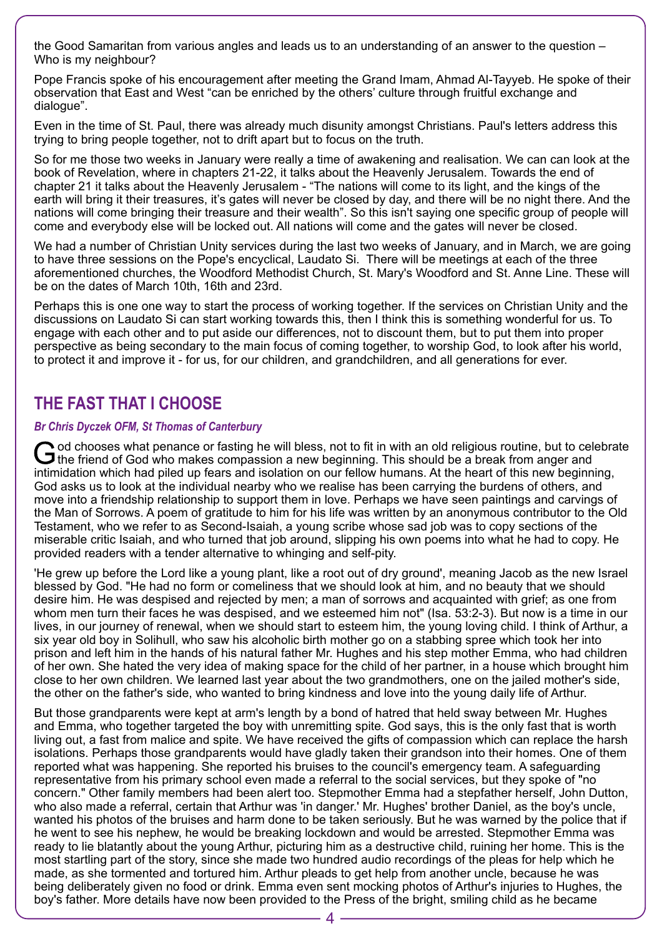the Good Samaritan from various angles and leads us to an understanding of an answer to the question – Who is my neighbour?

Pope Francis spoke of his encouragement after meeting the Grand Imam, Ahmad Al-Tayyeb. He spoke of their observation that East and West "can be enriched by the others' culture through fruitful exchange and dialogue".

Even in the time of St. Paul, there was already much disunity amongst Christians. Paul's letters address this trying to bring people together, not to drift apart but to focus on the truth.

So for me those two weeks in January were really a time of awakening and realisation. We can can look at the book of Revelation, where in chapters 21-22, it talks about the Heavenly Jerusalem. Towards the end of chapter 21 it talks about the Heavenly Jerusalem - "The nations will come to its light, and the kings of the earth will bring it their treasures, it's gates will never be closed by day, and there will be no night there. And the nations will come bringing their treasure and their wealth". So this isn't saying one specific group of people will come and everybody else will be locked out. All nations will come and the gates will never be closed.

We had a number of Christian Unity services during the last two weeks of January, and in March, we are going to have three sessions on the Pope's encyclical, Laudato Si. There will be meetings at each of the three aforementioned churches, the Woodford Methodist Church, St. Mary's Woodford and St. Anne Line. These will be on the dates of March 10th, 16th and 23rd.

Perhaps this is one one way to start the process of working together. If the services on Christian Unity and the discussions on Laudato Si can start working towards this, then I think this is something wonderful for us. To engage with each other and to put aside our differences, not to discount them, but to put them into proper perspective as being secondary to the main focus of coming together, to worship God, to look after his world, to protect it and improve it - for us, for our children, and grandchildren, and all generations for ever.

# **THE FAST THAT I CHOOSE**

### *Br Chris Dyczek OFM, St Thomas of Canterbury*

God chooses what penance or fasting he will bless, not to fit in with an old religious routine, but to celebrate the friend of God who makes compassion a new beginning. This should be a break from anger and intimidation which had piled up fears and isolation on our fellow humans. At the heart of this new beginning, God asks us to look at the individual nearby who we realise has been carrying the burdens of others, and move into a friendship relationship to support them in love. Perhaps we have seen paintings and carvings of the Man of Sorrows. A poem of gratitude to him for his life was written by an anonymous contributor to the Old Testament, who we refer to as Second-Isaiah, a young scribe whose sad job was to copy sections of the miserable critic Isaiah, and who turned that job around, slipping his own poems into what he had to copy. He provided readers with a tender alternative to whinging and self-pity.

'He grew up before the Lord like a young plant, like a root out of dry ground', meaning Jacob as the new Israel blessed by God. "He had no form or comeliness that we should look at him, and no beauty that we should desire him. He was despised and rejected by men; a man of sorrows and acquainted with grief; as one from whom men turn their faces he was despised, and we esteemed him not" (Isa. 53:2-3). But now is a time in our lives, in our journey of renewal, when we should start to esteem him, the young loving child. I think of Arthur, a six year old boy in Solihull, who saw his alcoholic birth mother go on a stabbing spree which took her into prison and left him in the hands of his natural father Mr. Hughes and his step mother Emma, who had children of her own. She hated the very idea of making space for the child of her partner, in a house which brought him close to her own children. We learned last year about the two grandmothers, one on the jailed mother's side, the other on the father's side, who wanted to bring kindness and love into the young daily life of Arthur.

But those grandparents were kept at arm's length by a bond of hatred that held sway between Mr. Hughes and Emma, who together targeted the boy with unremitting spite. God says, this is the only fast that is worth living out, a fast from malice and spite. We have received the gifts of compassion which can replace the harsh isolations. Perhaps those grandparents would have gladly taken their grandson into their homes. One of them reported what was happening. She reported his bruises to the council's emergency team. A safeguarding representative from his primary school even made a referral to the social services, but they spoke of "no concern." Other family members had been alert too. Stepmother Emma had a stepfather herself, John Dutton, who also made a referral, certain that Arthur was 'in danger.' Mr. Hughes' brother Daniel, as the boy's uncle, wanted his photos of the bruises and harm done to be taken seriously. But he was warned by the police that if he went to see his nephew, he would be breaking lockdown and would be arrested. Stepmother Emma was ready to lie blatantly about the young Arthur, picturing him as a destructive child, ruining her home. This is the most startling part of the story, since she made two hundred audio recordings of the pleas for help which he made, as she tormented and tortured him. Arthur pleads to get help from another uncle, because he was being deliberately given no food or drink. Emma even sent mocking photos of Arthur's injuries to Hughes, the boy's father. More details have now been provided to the Press of the bright, smiling child as he became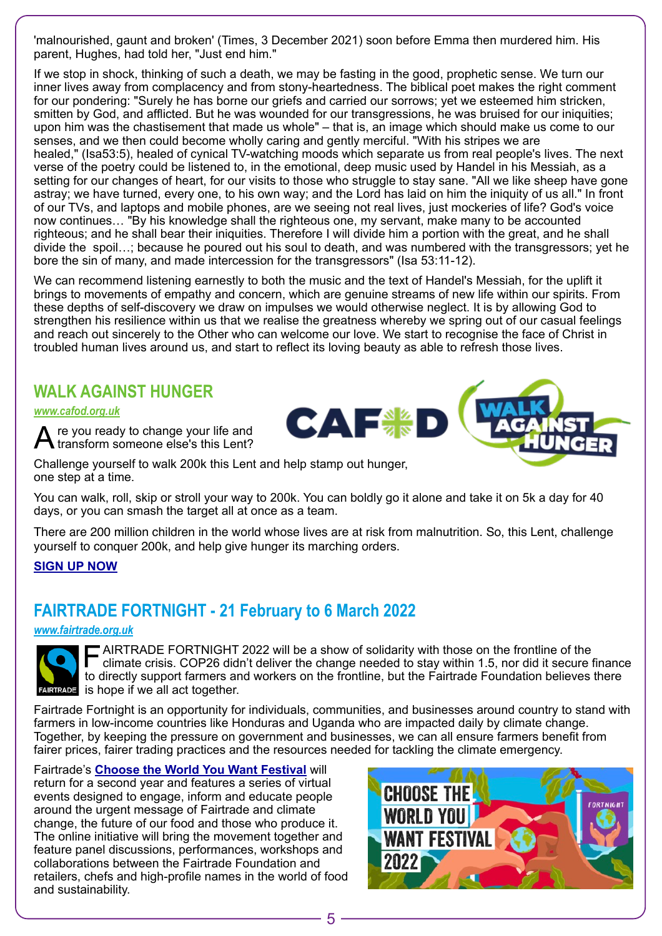'malnourished, gaunt and broken' (Times, 3 December 2021) soon before Emma then murdered him. His parent, Hughes, had told her, "Just end him."

If we stop in shock, thinking of such a death, we may be fasting in the good, prophetic sense. We turn our inner lives away from complacency and from stony-heartedness. The biblical poet makes the right comment for our pondering: "Surely he has borne our griefs and carried our sorrows; yet we esteemed him stricken, smitten by God, and afflicted. But he was wounded for our transgressions, he was bruised for our iniquities; upon him was the chastisement that made us whole" – that is, an image which should make us come to our senses, and we then could become wholly caring and gently merciful. "With his stripes we are healed," (Isa53:5), healed of cynical TV-watching moods which separate us from real people's lives. The next verse of the poetry could be listened to, in the emotional, deep music used by Handel in his Messiah, as a setting for our changes of heart, for our visits to those who struggle to stay sane. "All we like sheep have gone astray; we have turned, every one, to his own way; and the Lord has laid on him the iniquity of us all." In front of our TVs, and laptops and mobile phones, are we seeing not real lives, just mockeries of life? God's voice now continues… "By his knowledge shall the righteous one, my servant, make many to be accounted righteous; and he shall bear their iniquities. Therefore I will divide him a portion with the great, and he shall divide the spoil…; because he poured out his soul to death, and was numbered with the transgressors; yet he bore the sin of many, and made intercession for the transgressors" (Isa 53:11-12).

We can recommend listening earnestly to both the music and the text of Handel's Messiah, for the uplift it brings to movements of empathy and concern, which are genuine streams of new life within our spirits. From these depths of self-discovery we draw on impulses we would otherwise neglect. It is by allowing God to strengthen his resilience within us that we realise the greatness whereby we spring out of our casual feelings and reach out sincerely to the Other who can welcome our love. We start to recognise the face of Christ in troubled human lives around us, and start to reflect its loving beauty as able to refresh those lives.

### **WALK AGAINST HUNGER**

*[www.cafod.org.uk](http://www.cafod.org.uk)*

re you ready to change your life and transform someone else's this Lent?

Challenge yourself to walk 200k this Lent and help stamp out hunger, one step at a time.

You can walk, roll, skip or stroll your way to 200k. You can boldly go it alone and take it on 5k a day for 40 days, or you can smash the target all at once as a team.

There are 200 million children in the world whose lives are at risk from malnutrition. So, this Lent, challenge yourself to conquer 200k, and help give hunger its marching orders.

### **[SIGN UP NOW](https://walk.cafod.org.uk/)**

# **FAIRTRADE FORTNIGHT - 21 February to 6 March 2022**

*[www.fairtrade.org.uk](http://www.fairtrade.org.uk)*



FAIRTRADE FORTNIGHT 2022 will be a show of solidarity with those on the frontline of the climate crisis. COP26 didn't deliver the change needed to stay within 1.5, nor did it secure finance to directly support farmers and workers on the frontline, but the Fairtrade Foundation believes there **RADE** is hope if we all act together.

Fairtrade Fortnight is an opportunity for individuals, communities, and businesses around country to stand with farmers in low-income countries like Honduras and Uganda who are impacted daily by climate change. Together, by keeping the pressure on government and businesses, we can all ensure farmers benefit from fairer prices, fairer trading practices and the resources needed for tackling the climate emergency.

Fairtrade's **[Choose the World You Want Festival](https://www.fairtrade.org.uk/choose-the-world-you-want/)** will return for a second year and features a series of virtual events designed to engage, inform and educate people around the urgent message of Fairtrade and climate change, the future of our food and those who produce it. The online initiative will bring the movement together and feature panel discussions, performances, workshops and collaborations between the Fairtrade Foundation and retailers, chefs and high-profile names in the world of food and sustainability.